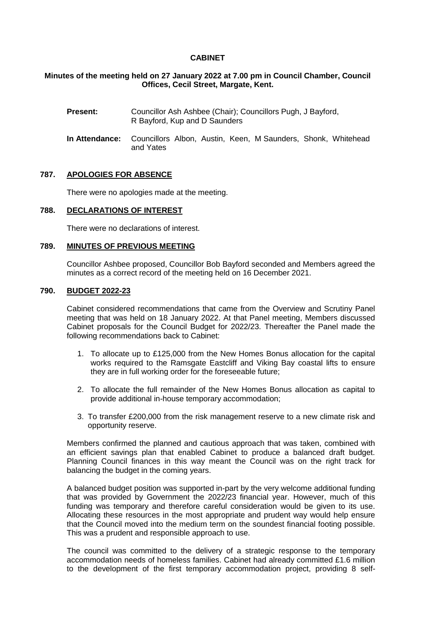# **CABINET**

# **Minutes of the meeting held on 27 January 2022 at 7.00 pm in Council Chamber, Council Offices, Cecil Street, Margate, Kent.**

- **Present:** Councillor Ash Ashbee (Chair); Councillors Pugh, J Bayford, R Bayford, Kup and D Saunders
- **In Attendance:** Councillors Albon, Austin, Keen, M Saunders, Shonk, Whitehead and Yates

# **787. APOLOGIES FOR ABSENCE**

There were no apologies made at the meeting.

## **788. DECLARATIONS OF INTEREST**

There were no declarations of interest.

#### **789. MINUTES OF PREVIOUS MEETING**

Councillor Ashbee proposed, Councillor Bob Bayford seconded and Members agreed the minutes as a correct record of the meeting held on 16 December 2021.

# **790. BUDGET 2022-23**

Cabinet considered recommendations that came from the Overview and Scrutiny Panel meeting that was held on 18 January 2022. At that Panel meeting, Members discussed Cabinet proposals for the Council Budget for 2022/23. Thereafter the Panel made the following recommendations back to Cabinet:

- 1. To allocate up to £125,000 from the New Homes Bonus allocation for the capital works required to the Ramsgate Eastcliff and Viking Bay coastal lifts to ensure they are in full working order for the foreseeable future;
- 2. To allocate the full remainder of the New Homes Bonus allocation as capital to provide additional in-house temporary accommodation;
- 3. To transfer £200,000 from the risk management reserve to a new climate risk and opportunity reserve.

Members confirmed the planned and cautious approach that was taken, combined with an efficient savings plan that enabled Cabinet to produce a balanced draft budget. Planning Council finances in this way meant the Council was on the right track for balancing the budget in the coming years.

A balanced budget position was supported in-part by the very welcome additional funding that was provided by Government the 2022/23 financial year. However, much of this funding was temporary and therefore careful consideration would be given to its use. Allocating these resources in the most appropriate and prudent way would help ensure that the Council moved into the medium term on the soundest financial footing possible. This was a prudent and responsible approach to use.

The council was committed to the delivery of a strategic response to the temporary accommodation needs of homeless families. Cabinet had already committed £1.6 million to the development of the first temporary accommodation project, providing 8 self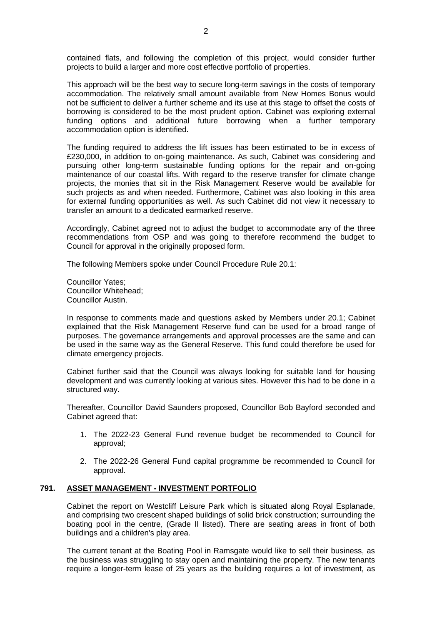contained flats, and following the completion of this project, would consider further projects to build a larger and more cost effective portfolio of properties.

This approach will be the best way to secure long-term savings in the costs of temporary accommodation. The relatively small amount available from New Homes Bonus would not be sufficient to deliver a further scheme and its use at this stage to offset the costs of borrowing is considered to be the most prudent option. Cabinet was exploring external funding options and additional future borrowing when a further temporary accommodation option is identified.

The funding required to address the lift issues has been estimated to be in excess of £230,000, in addition to on-going maintenance. As such, Cabinet was considering and pursuing other long-term sustainable funding options for the repair and on-going maintenance of our coastal lifts. With regard to the reserve transfer for climate change projects, the monies that sit in the Risk Management Reserve would be available for such projects as and when needed. Furthermore, Cabinet was also looking in this area for external funding opportunities as well. As such Cabinet did not view it necessary to transfer an amount to a dedicated earmarked reserve.

Accordingly, Cabinet agreed not to adjust the budget to accommodate any of the three recommendations from OSP and was going to therefore recommend the budget to Council for approval in the originally proposed form.

The following Members spoke under Council Procedure Rule 20.1:

Councillor Yates; Councillor Whitehead; Councillor Austin.

In response to comments made and questions asked by Members under 20.1; Cabinet explained that the Risk Management Reserve fund can be used for a broad range of purposes. The governance arrangements and approval processes are the same and can be used in the same way as the General Reserve. This fund could therefore be used for climate emergency projects.

Cabinet further said that the Council was always looking for suitable land for housing development and was currently looking at various sites. However this had to be done in a structured way.

Thereafter, Councillor David Saunders proposed, Councillor Bob Bayford seconded and Cabinet agreed that:

- 1. The 2022-23 General Fund revenue budget be recommended to Council for approval;
- 2. The 2022-26 General Fund capital programme be recommended to Council for approval.

# **791. ASSET MANAGEMENT - INVESTMENT PORTFOLIO**

Cabinet the report on Westcliff Leisure Park which is situated along Royal Esplanade, and comprising two crescent shaped buildings of solid brick construction; surrounding the boating pool in the centre, (Grade II listed). There are seating areas in front of both buildings and a children's play area.

The current tenant at the Boating Pool in Ramsgate would like to sell their business, as the business was struggling to stay open and maintaining the property. The new tenants require a longer-term lease of 25 years as the building requires a lot of investment, as